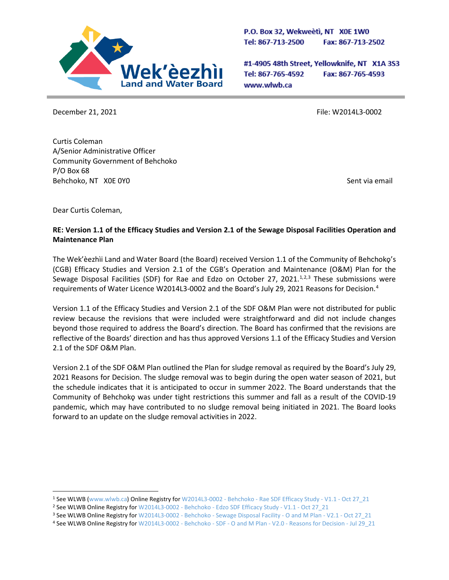

P.O. Box 32, Wekweeti, NT X0E 1W0 Tel: 867-713-2500 Fax: 867-713-2502

#1-4905 48th Street, Yellowknife, NT X1A 3S3 Tel: 867-765-4592 Fax: 867-765-4593 www.wlwb.ca

December 21, 2021 **File: W2014L3-0002** 

Curtis Coleman A/Senior Administrative Officer Community Government of Behchoko P/O Box 68 Behchoko, NT X0E 0Y0 Sent via email

Dear Curtis Coleman,

## **RE: Version 1.1 of the Efficacy Studies and Version 2.1 of the Sewage Disposal Facilities Operation and Maintenance Plan**

The Wek'èezhìi Land and Water Board (the Board) received Version 1.1 of the Community of Behchokǫ's (CGB) Efficacy Studies and Version 2.1 of the CGB's Operation and Maintenance (O&M) Plan for the Sewage Disposal Facilities (SDF) for Rae and Edzo on October 27, 202[1](#page-0-0). $1,2,3$  $1,2,3$  $1,2,3$  These submissions were requirements of Water Licence W2014L3-0002 and the Board's July 29, 2021 Reasons for Decision. [4](#page-0-3)

Version 1.1 of the Efficacy Studies and Version 2.1 of the SDF O&M Plan were not distributed for public review because the revisions that were included were straightforward and did not include changes beyond those required to address the Board's direction. The Board has confirmed that the revisions are reflective of the Boards' direction and has thus approved Versions 1.1 of the Efficacy Studies and Version 2.1 of the SDF O&M Plan.

Version 2.1 of the SDF O&M Plan outlined the Plan for sludge removal as required by the Board's July 29, 2021 Reasons for Decision. The sludge removal was to begin during the open water season of 2021, but the schedule indicates that it is anticipated to occur in summer 2022. The Board understands that the Community of Behchokǫ was under tight restrictions this summer and fall as a result of the COVID-19 pandemic, which may have contributed to no sludge removal being initiated in 2021. The Board looks forward to an update on the sludge removal activities in 2022.

<span id="page-0-0"></span><sup>1</sup> See WLWB [\(www.wlwb.ca\)](http://www.wlwb.ca/) Online Registry for W2014L3-0002 - Behchoko - [Rae SDF Efficacy Study -](http://registry.mvlwb.ca/Documents/W2014L3-0002/W2014L3-0002%20-%20Behchoko%20-%20Rae%20SDF%20Efficacy%20Study%20-%20V1.1%20-%20Oct%2027_21.pdf) V1.1 - Oct 27\_21

<span id="page-0-1"></span><sup>&</sup>lt;sup>2</sup> See WLWB Online Registry for W2014L3-0002 - Behchoko - [Edzo SDF Efficacy Study -](http://registry.mvlwb.ca/Documents/W2014L3-0002/W2014L3-0002%20-%20Behchoko%20-%20Edzo%20SDF%20Efficacy%20Study%20-%20V1.1%20-%20Oct%2027_21.pdf) V1.1 - Oct 27\_21

<span id="page-0-2"></span><sup>&</sup>lt;sup>3</sup> See WLWB Online Registry for W2014L3-0002 - Behchoko - Sewage Disposal Facility - O and M Plan - V2.1 - Oct 27\_21<br><sup>4</sup> See WLWB Online Registry for W2014L3-0002 - Behchoko - SDF - O and M Plan - V2.0 - Reasons for Decis

<span id="page-0-3"></span>